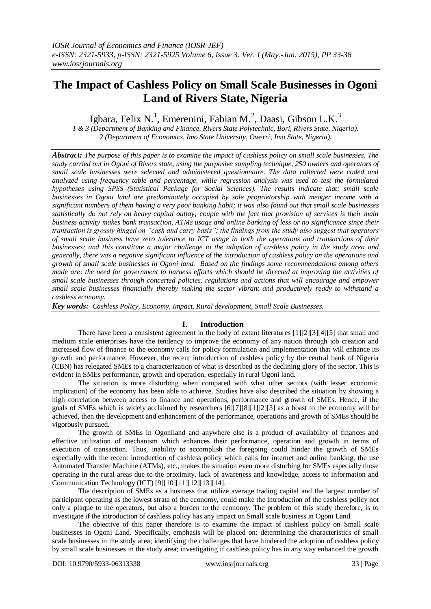# **The Impact of Cashless Policy on Small Scale Businesses in Ogoni Land of Rivers State, Nigeria**

Igbara, Felix N.<sup>1</sup>, Emerenini, Fabian M.<sup>2</sup>, Daasi, Gibson L.K.<sup>3</sup>

*1 & 3 (Department of Banking and Finance, Rivers State Polytechnic, Bori, Rivers State, Nigeria). 2 (Department of Economics, Imo State University, Owerri, Imo State, Nigeria).*

*Abstract: The purpose of this paper is to examine the impact of cashless policy on small scale businesses. The study carried out in Ogoni of Rivers state, using the purposive sampling technique, 250 owners and operators of small scale businesses were selected and administered questionnaire. The data collected were coded and analyzed using frequency table and percentage, while regression analysis was used to test the formulated hypotheses using SPSS (Statistical Package for Social Sciences). The results indicate that: small scale businesses in Ogoni land are predominately occupied by sole proprietorship with meager income with a significant numbers of them having a very poor banking habit; it was also found out that small scale businesses statistically do not rely on heavy capital outlay; couple with the fact that provision of services is their main business activity makes bank transaction, ATMs usage and online banking of less or no significance since their transaction is grossly hinged on "cash and carry basis"; the findings from the study also suggest that operators of small scale business have zero tolerance to ICT usage in both the operations and transactions of their businesses; and this constitute a major challenge to the adoption of cashless policy in the study area and generally, there was a negative significant influence of the introduction of cashless policy on the operations and growth of small scale businesses in Ogoni land. Based on the findings some recommendations among others made are: the need for government to harness efforts which should be directed at improving the activities of small scale businesses through concerted policies, regulations and actions that will encourage and empower small scale businesses financially thereby making the sector vibrant and productively ready to withstand a cashless economy.*

*Key words: Cashless Policy, Economy, Impact, Rural development, Small Scale Businesses*.

## **I. Introduction**

There have been a consistent agreement in the body of extant literatures [1][2][3][4][5] that small and medium scale enterprises have the tendency to improve the economy of any nation through job creation and increased flow of finance to the economy calls for policy formulation and implementation that will enhance its growth and performance. However, the recent introduction of cashless policy by the central bank of Nigeria (CBN) has relegated SMEs to a characterization of what is described as the declining glory of the sector. This is evident in SMEs performance, growth and operation, especially in rural Ogoni land.

The situation is more disturbing when compared with what other sectors (with lesser economic implication) of the economy has been able to achieve. Studies have also described the situation by showing a high correlation between access to finance and operations, performance and growth of SMEs. Hence, if the goals of SMEs which is widely acclaimed by researchers [6][7][8][1][2][3] as a boast to the economy will be achieved, then the development and enhancement of the performance, operations and growth of SMEs should be vigorously pursued.

The growth of SMEs in Ogoniland and anywhere else is a product of availability of finances and effective utilization of mechanism which enhances their performance, operation and growth in terms of execution of transaction. Thus, inability to accomplish the foregoing could hinder the growth of SMEs especially with the recent introduction of cashless policy which calls for internet and online banking, the use Automated Transfer Machine (ATMs), etc., makes the situation even more disturbing for SMEs especially those operating in the rural areas due to the proximity, lack of awareness and knowledge, access to Information and Communication Technology (ICT) [9][10][11][12][13][14].

The description of SMEs as a business that utilize average trading capital and the largest number of participant operating as the lowest strata of the economy, could make the introduction of the cashless policy not only a plaque to the operators, but also a burden to the economy. The problem of this study therefore, is to investigate if the introduction of cashless policy has any impact on Small scale business in Ogoni Land.

The objective of this paper therefore is to examine the impact of cashless policy on Small scale businesses in Ogoni Land. Specifically, emphasis will be placed on: determining the characteristics of small scale businesses in the study area; identifying the challenges that have hindered the adoption of cashless policy by small scale businesses in the study area; investigating if cashless policy has in any way enhanced the growth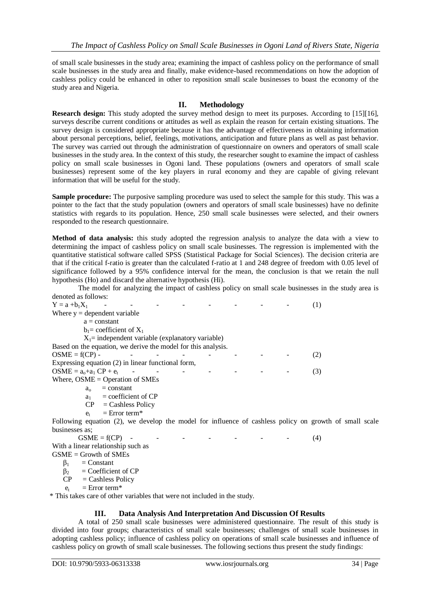of small scale businesses in the study area; examining the impact of cashless policy on the performance of small scale businesses in the study area and finally, make evidence-based recommendations on how the adoption of cashless policy could be enhanced in other to reposition small scale businesses to boast the economy of the study area and Nigeria.

# **II. Methodology**

**Research design:** This study adopted the survey method design to meet its purposes. According to [15][16], surveys describe current conditions or attitudes as well as explain the reason for certain existing situations. The survey design is considered appropriate because it has the advantage of effectiveness in obtaining information about personal perceptions, belief, feelings, motivations, anticipation and future plans as well as past behavior. The survey was carried out through the administration of questionnaire on owners and operators of small scale businesses in the study area. In the context of this study, the researcher sought to examine the impact of cashless policy on small scale businesses in Ogoni land. These populations (owners and operators of small scale businesses) represent some of the key players in rural economy and they are capable of giving relevant information that will be useful for the study.

**Sample procedure:** The purposive sampling procedure was used to select the sample for this study. This was a pointer to the fact that the study population (owners and operators of small scale businesses) have no definite statistics with regards to its population. Hence, 250 small scale businesses were selected, and their owners responded to the research questionnaire.

**Method of data analysis:** this study adopted the regression analysis to analyze the data with a view to determining the impact of cashless policy on small scale businesses. The regression is implemented with the quantitative statistical software called SPSS (Statistical Package for Social Sciences). The decision criteria are that if the critical f-ratio is greater than the calculated f-ratio at 1 and 248 degree of freedom with 0.05 level of significance followed by a 95% confidence interval for the mean, the conclusion is that we retain the null hypothesis (Ho) and discard the alternative hypothesis (Hi).

The model for analyzing the impact of cashless policy on small scale businesses in the study area is denoted as follows:

| $Y = a + b_1 X_1$                                             |                                                     |  |  |  |     |
|---------------------------------------------------------------|-----------------------------------------------------|--|--|--|-----|
| Where $y =$ dependent variable                                |                                                     |  |  |  |     |
|                                                               | $a = constant$                                      |  |  |  |     |
|                                                               | $b_1$ = coefficient of $X_1$                        |  |  |  |     |
|                                                               | $X_1$ = independent variable (explanatory variable) |  |  |  |     |
| Based on the equation, we derive the model for this analysis. |                                                     |  |  |  |     |
| $OSME = f(CP) -$                                              |                                                     |  |  |  | (2) |
| Expressing equation (2) in linear functional form,            |                                                     |  |  |  |     |
| $OSME = a_0 + a_1 CP + e_1$                                   |                                                     |  |  |  | (3) |
| Where, $OSME = Operation$ of SMEs                             |                                                     |  |  |  |     |
| $a_{\alpha}$                                                  | $=$ constant                                        |  |  |  |     |
| a <sub>1</sub>                                                | $=$ coefficient of CP                               |  |  |  |     |
| CP                                                            | $=$ Cashless Policy                                 |  |  |  |     |
| $e_{t}$                                                       | $=$ Error term <sup>*</sup>                         |  |  |  |     |

Following equation (2), we develop the model for influence of cashless policy on growth of small scale businesses as;

 $GSME = f(CP)$  - - - - - - - - (4) With a linear relationship such as  $GSME = Growth of SMEs$  $\beta_1$  = Constant

 $\beta_2$  = Coefficient of CP

- $CP =$  Cashless Policy
- $e_t = Error term^*$

\* This takes care of other variables that were not included in the study.

# **III. Data Analysis And Interpretation And Discussion Of Results**

A total of 250 small scale businesses were administered questionnaire. The result of this study is divided into four groups; characteristics of small scale businesses; challenges of small scale businesses in adopting cashless policy; influence of cashless policy on operations of small scale businesses and influence of cashless policy on growth of small scale businesses. The following sections thus present the study findings: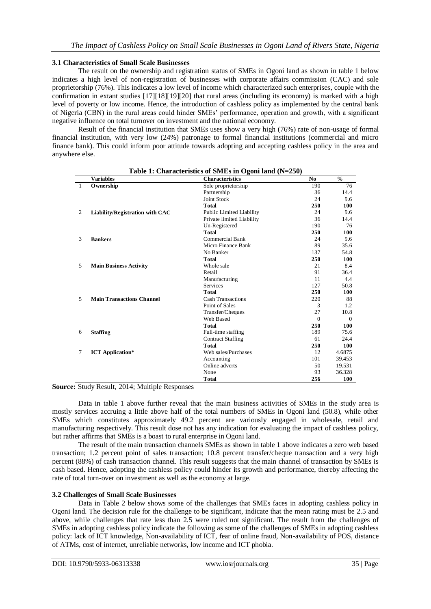#### **3.1 Characteristics of Small Scale Businesses**

The result on the ownership and registration status of SMEs in Ogoni land as shown in table 1 below indicates a high level of non-registration of businesses with corporate affairs commission (CAC) and sole proprietorship (76%). This indicates a low level of income which characterized such enterprises, couple with the confirmation in extant studies [17][18][19][20] that rural areas (including its economy) is marked with a high level of poverty or low income. Hence, the introduction of cashless policy as implemented by the central bank of Nigeria (CBN) in the rural areas could hinder SMEs' performance, operation and growth, with a significant negative influence on total turnover on investment and the national economy.

Result of the financial institution that SMEs uses show a very high (76%) rate of non-usage of formal financial institution, with very low (24%) patronage to formal financial institutions (commercial and micro finance bank). This could inform poor attitude towards adopting and accepting cashless policy in the area and anywhere else.

**Table 1: Characteristics of SMEs in Ogoni land (N=250)**

|                | <b>Variables</b>                 | <b>Characteristics</b>          | N <sub>0</sub> | $\frac{0}{0}$ |
|----------------|----------------------------------|---------------------------------|----------------|---------------|
| $\overline{1}$ | Ownership                        | Sole proprietorship             | 190            | 76            |
|                |                                  | Partnership                     | 36             | 14.4          |
|                |                                  | Joint Stock                     | 24             | 9.6           |
|                |                                  | Total                           | 250            | 100           |
| $\overline{2}$ | Liability/Registration with CAC  | <b>Public Limited Liability</b> | 24             | 9.6           |
|                |                                  | Private limited Liability       | 36             | 14.4          |
|                |                                  | Un-Registered                   | 190            | 76            |
|                |                                  | <b>Total</b>                    | 250            | 100           |
| 3              | <b>Bankers</b>                   | Commercial Bank                 | 24             | 9.6           |
|                |                                  | Micro Finance Bank              | 89             | 35.6          |
|                |                                  | No Banker                       | 137            | 54.8          |
|                |                                  | <b>Total</b>                    | 250            | 100           |
| 5              | <b>Main Business Activity</b>    | Whole sale                      | 21             | 8.4           |
|                |                                  | Retail                          | 91             | 36.4          |
|                |                                  | Manufacturing                   | 11             | 4.4           |
|                |                                  | Services                        | 127            | 50.8          |
|                |                                  | Total                           | 250            | 100           |
| 5              | <b>Main Transactions Channel</b> | <b>Cash Transactions</b>        | 220            | 88            |
|                |                                  | Point of Sales                  | 3              | 1.2           |
|                |                                  | Transfer/Cheques                | 27             | 10.8          |
|                |                                  | Web Based                       | $\Omega$       | $\Omega$      |
|                |                                  | <b>Total</b>                    | 250            | 100           |
| 6              | <b>Staffing</b>                  | Full-time staffing              | 189            | 75.6          |
|                |                                  | <b>Contract Staffing</b>        | 61             | 24.4          |
|                |                                  | <b>Total</b>                    | 250            | 100           |
| 7              | <b>ICT</b> Application*          | Web sales/Purchases             | 12             | 4.6875        |
|                |                                  | Accounting                      | 101            | 39.453        |
|                |                                  | Online adverts                  | 50             | 19.531        |
|                |                                  | None                            | 93             | 36.328        |
|                |                                  | <b>Total</b>                    | 256            | 100           |

**Source:** Study Result, 2014; Multiple Responses

Data in table 1 above further reveal that the main business activities of SMEs in the study area is mostly services accruing a little above half of the total numbers of SMEs in Ogoni land (50.8), while other SMEs which constitutes approximately 49.2 percent are variously engaged in wholesale, retail and manufacturing respectively. This result dose not has any indication for evaluating the impact of cashless policy, but rather affirms that SMEs is a boast to rural enterprise in Ogoni land.

The result of the main transaction channels SMEs as shown in table 1 above indicates a zero web based transaction; 1.2 percent point of sales transaction; 10.8 percent transfer/cheque transaction and a very high percent (88%) of cash transaction channel. This result suggests that the main channel of transaction by SMEs is cash based. Hence, adopting the cashless policy could hinder its growth and performance, thereby affecting the rate of total turn-over on investment as well as the economy at large.

## **3.2 Challenges of Small Scale Businesses**

Data in Table 2 below shows some of the challenges that SMEs faces in adopting cashless policy in Ogoni land. The decision rule for the challenge to be significant, indicate that the mean rating must be 2.5 and above, while challenges that rate less than 2.5 were ruled not significant. The result from the challenges of SMEs in adopting cashless policy indicate the following as some of the challenges of SMEs in adopting cashless policy: lack of ICT knowledge, Non-availability of ICT, fear of online fraud, Non-availability of POS, distance of ATMs, cost of internet, unreliable networks, low income and ICT phobia.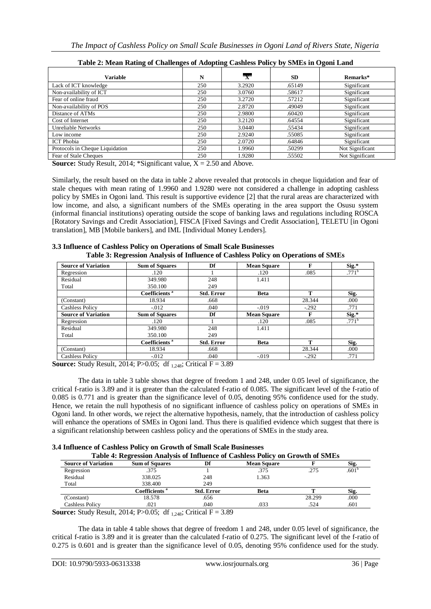| <b>Variable</b>                 | N   | $\overline{\mathbf{x}}$ | <b>SD</b> | Remarks*        |
|---------------------------------|-----|-------------------------|-----------|-----------------|
| Lack of ICT knowledge           | 250 | 3.2920                  | .65149    | Significant     |
| Non-availability of ICT         | 250 | 3.0760                  | .58617    | Significant     |
| Fear of online fraud            | 250 | 3.2720                  | .57212    | Significant     |
| Non-availability of POS         | 250 | 2.8720                  | .49049    | Significant     |
| Distance of ATMs                | 250 | 2.9800                  | .60420    | Significant     |
| Cost of Internet                | 250 | 3.2120                  | .64554    | Significant     |
| Unreliable Networks             | 250 | 3.0440                  | .55434    | Significant     |
| Low income                      | 250 | 2.9240                  | .55085    | Significant     |
| <b>ICT</b> Phobia               | 250 | 2.0720                  | .64846    | Significant     |
| Protocols in Cheque Liquidation | 250 | 1.9960                  | .50299    | Not Significant |
| Fear of Stale Cheques           | 250 | 1.9280                  | .55502    | Not Significant |

**Table 2: Mean Rating of Challenges of Adopting Cashless Policy by SMEs in Ogoni Land**

**Source:** Study Result, 2014; \*Significant value,  $X = 2.50$  and Above.

Similarly, the result based on the data in table 2 above revealed that protocols in cheque liquidation and fear of stale cheques with mean rating of 1.9960 and 1.9280 were not considered a challenge in adopting cashless policy by SMEs in Ogoni land. This result is supportive evidence [2] that the rural areas are characterized with low income, and also, a significant numbers of the SMEs operating in the area support the Osusu system (informal financial institutions) operating outside the scope of banking laws and regulations including ROSCA [Rotatory Savings and Credit Association], FISCA [Fixed Savings and Credit Association], TELETU [in Ogoni translation], MB [Mobile bankers], and IML [Individual Money Lenders].

| <b>Source of Variation</b> | <b>Sum of Squares</b>     | Df                | <b>Mean Square</b> | F       | Sig.*             |
|----------------------------|---------------------------|-------------------|--------------------|---------|-------------------|
| Regression                 | .120                      |                   | .120               | .085    | .771 <sup>b</sup> |
| Residual                   | 349.980                   | 248               | 1.411              |         |                   |
| Total                      | 350.100                   | 249               |                    |         |                   |
|                            | Coefficients <sup>a</sup> | <b>Std. Error</b> | <b>Beta</b>        | т       | Sig.              |
| (Constant)                 | 18.934                    | .668              |                    | 28.344  | .000              |
| <b>Cashless Policy</b>     | $-0.012$                  | .040              | $-0.019$           | $-.292$ | .771              |
| <b>Source of Variation</b> | <b>Sum of Squares</b>     | Df                | <b>Mean Square</b> | F       | Sig.*             |
| Regression                 | .120                      |                   | .120               | .085    | .771 <sup>b</sup> |
| Residual                   | 349.980                   | 248               | 1.411              |         |                   |
| Total                      | 350.100                   | 249               |                    |         |                   |
|                            | Coefficients <sup>a</sup> | <b>Std. Error</b> | <b>Beta</b>        | т       | Sig.              |
| (Constant)                 | 18.934                    | .668              |                    | 28.344  | .000              |
| <b>Cashless Policy</b>     | $-0.012$                  | .040              | $-.019$            | $-.292$ | .771              |

| 3.3 Influence of Cashless Policy on Operations of Small Scale Businesses           |
|------------------------------------------------------------------------------------|
| Table 3: Regression Analysis of Influence of Cashless Policy on Operations of SMEs |

**Source:** Study Result, 2014; P>0.05; df  $_{1,248}$ ; Critical F = 3.89

The data in table 3 table shows that degree of freedom 1 and 248, under 0.05 level of significance, the critical f-ratio is 3.89 and it is greater than the calculated f-ratio of 0.085. The significant level of the f-ratio of 0.085 is 0.771 and is greater than the significance level of 0.05, denoting 95% confidence used for the study. Hence, we retain the null hypothesis of no significant influence of cashless policy on operations of SMEs in Ogoni land. In other words, we reject the alternative hypothesis, namely, that the introduction of cashless policy will enhance the operations of SMEs in Ogoni land. Thus there is qualified evidence which suggest that there is a significant relationship between cashless policy and the operations of SMEs in the study area.

| 3.4 Influence of Cashless Policy on Growth of Small Scale Businesses |  |  |
|----------------------------------------------------------------------|--|--|
|----------------------------------------------------------------------|--|--|

| Table 4: Regression Analysis of Influence of Cashless Policy on Growth of SMEs |                           |                                         |                    |        |      |  |
|--------------------------------------------------------------------------------|---------------------------|-----------------------------------------|--------------------|--------|------|--|
| <b>Source of Variation</b>                                                     | <b>Sum of Squares</b>     | Df                                      | <b>Mean Square</b> |        | Sig. |  |
| Regression                                                                     | .375                      |                                         | .375               | .275   | .601 |  |
| Residual                                                                       | 338.025                   | 248                                     | 1.363              |        |      |  |
| Total                                                                          | 338.400                   | 249                                     |                    |        |      |  |
|                                                                                | Coefficients <sup>a</sup> | <b>Std. Error</b>                       | <b>Beta</b>        |        | Sig. |  |
| (Constant)                                                                     | 18.578                    | .656                                    |                    | 28.299 | .000 |  |
| Cashless Policy                                                                | .021                      | .040                                    | .033               | .524   | .601 |  |
| $(1 - 0.1 R, 1.011 R, 0.07 R)$                                                 |                           | $\sim$ $\sim$ $\sim$ $\sim$<br>$\Omega$ |                    |        |      |  |

**Source:** Study Result, 2014; P>0.05; df  $_{1,248}$ ; Critical F = 3.89

The data in table 4 table shows that degree of freedom 1 and 248, under 0.05 level of significance, the critical f-ratio is 3.89 and it is greater than the calculated f-ratio of 0.275. The significant level of the f-ratio of 0.275 is 0.601 and is greater than the significance level of 0.05, denoting 95% confidence used for the study.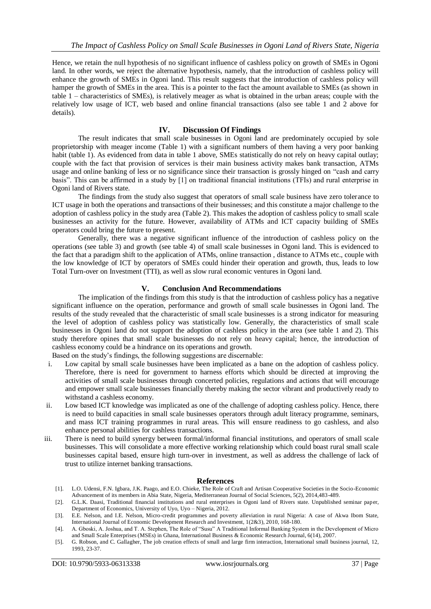Hence, we retain the null hypothesis of no significant influence of cashless policy on growth of SMEs in Ogoni land. In other words, we reject the alternative hypothesis, namely, that the introduction of cashless policy will enhance the growth of SMEs in Ogoni land. This result suggests that the introduction of cashless policy will hamper the growth of SMEs in the area. This is a pointer to the fact the amount available to SMEs (as shown in table 1 – characteristics of SMEs), is relatively meager as what is obtained in the urban areas; couple with the relatively low usage of ICT, web based and online financial transactions (also see table 1 and 2 above for details).

#### **IV. Discussion Of Findings**

The result indicates that small scale businesses in Ogoni land are predominately occupied by sole proprietorship with meager income (Table 1) with a significant numbers of them having a very poor banking habit (table 1). As evidenced from data in table 1 above, SMEs statistically do not rely on heavy capital outlay; couple with the fact that provision of services is their main business activity makes bank transaction, ATMs usage and online banking of less or no significance since their transaction is grossly hinged on "cash and carry basis". This can be affirmed in a study by [1] on traditional financial institutions (TFIs) and rural enterprise in Ogoni land of Rivers state.

The findings from the study also suggest that operators of small scale business have zero tolerance to ICT usage in both the operations and transactions of their businesses; and this constitute a major challenge to the adoption of cashless policy in the study area (Table 2). This makes the adoption of cashless policy to small scale businesses an activity for the future. However, availability of ATMs and ICT capacity building of SMEs operators could bring the future to present.

Generally, there was a negative significant influence of the introduction of cashless policy on the operations (see table 3) and growth (see table 4) of small scale businesses in Ogoni land. This is evidenced to the fact that a paradigm shift to the application of ATMs, online transaction , distance to ATMs etc., couple with the low knowledge of ICT by operators of SMEs could hinder their operation and growth, thus, leads to low Total Turn-over on Investment (TTI), as well as slow rural economic ventures in Ogoni land.

#### **V. Conclusion And Recommendations**

The implication of the findings from this study is that the introduction of cashless policy has a negative significant influence on the operation, performance and growth of small scale businesses in Ogoni land. The results of the study revealed that the characteristic of small scale businesses is a strong indicator for measuring the level of adoption of cashless policy was statistically low. Generally, the characteristics of small scale businesses in Ogoni land do not support the adoption of cashless policy in the area (see table 1 and 2). This study therefore opines that small scale businesses do not rely on heavy capital; hence, the introduction of cashless economy could be a hindrance on its operations and growth.

Based on the study's findings, the following suggestions are discernable:

- i. Low capital by small scale businesses have been implicated as a bane on the adoption of cashless policy. Therefore, there is need for government to harness efforts which should be directed at improving the activities of small scale businesses through concerted policies, regulations and actions that will encourage and empower small scale businesses financially thereby making the sector vibrant and productively ready to withstand a cashless economy.
- ii. Low based ICT knowledge was implicated as one of the challenge of adopting cashless policy. Hence, there is need to build capacities in small scale businesses operators through adult literacy programme, seminars, and mass ICT training programmes in rural areas. This will ensure readiness to go cashless, and also enhance personal abilities for cashless transactions.
- iii. There is need to build synergy between formal/informal financial institutions, and operators of small scale businesses. This will consolidate a more effective working relationship which could boast rural small scale businesses capital based, ensure high turn-over in investment, as well as address the challenge of lack of trust to utilize internet banking transactions.

#### **References**

- [1]. L.O. Udensi, F.N. Igbara, J.K. Paago, and E.O. Chieke, The Role of Craft and Artisan Cooperative Societies in the Socio-Economic Advancement of its members in Abia State, Nigeria, Mediterranean Journal of Social Sciences, 5(2), 2014,483-489.
- [2]. G.L.K. Daasi, Traditional financial institutions and rural enterprises in Ogoni land of Rivers state. Unpublished seminar paper, Department of Economics, University of Uyo, Uyo – Nigeria, 2012.
- [3]. E.E. Nelson, and I.E. Nelson, Micro-credit programmes and poverty alleviation in rural Nigeria: A case of Akwa Ibom State, International Journal of Economic Development Research and Investment, 1(2&3), 2010, 168-180.
- [4]. A. Gboski, A. Joshua, and T. A. Stephen, The Role of "Susu" A Traditional Informal Banking System in the Development of Micro and Small Scale Enterprises (MSEs) in Ghana, International Business & Economic Research Journal, 6(14), 2007.
- [5]. G. Robson, and C. Gallagher, The job creation effects of small and large firm interaction, International small business journal, 12, 1993, 23-37.